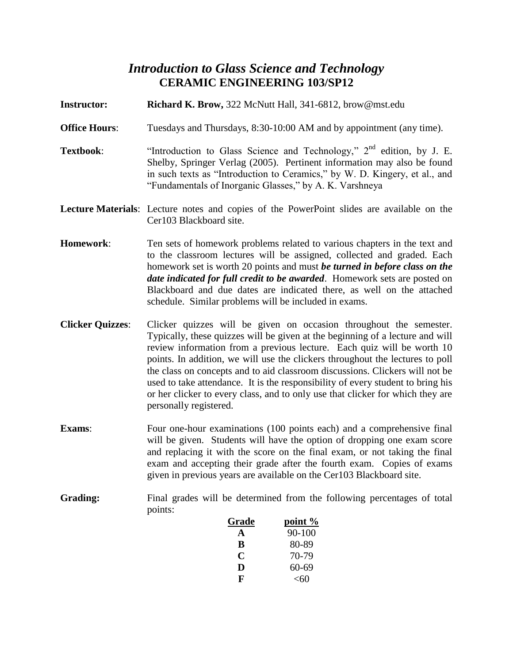# *Introduction to Glass Science and Technology* **CERAMIC ENGINEERING 103/SP12**

- **Instructor: Richard K. Brow,** 322 McNutt Hall, 341-6812, [brow@mst.edu](mailto:brow@mst.edu)
- **Office Hours:** Tuesdays and Thursdays, 8:30-10:00 AM and by appointment (any time).
- **Textbook:** "Introduction to Glass Science and Technology," 2<sup>nd</sup> edition, by J. E. Shelby, Springer Verlag (2005). Pertinent information may also be found in such texts as "Introduction to Ceramics," by W. D. Kingery, et al., and "Fundamentals of Inorganic Glasses," by A. K. Varshneya
- **Lecture Materials**: Lecture notes and copies of the PowerPoint slides are available on the Cer103 Blackboard site.
- **Homework**: Ten sets of homework problems related to various chapters in the text and to the classroom lectures will be assigned, collected and graded. Each homework set is worth 20 points and must *be turned in before class on the date indicated for full credit to be awarded*. Homework sets are posted on Blackboard and due dates are indicated there, as well on the attached schedule. Similar problems will be included in exams.
- **Clicker Quizzes**: Clicker quizzes will be given on occasion throughout the semester. Typically, these quizzes will be given at the beginning of a lecture and will review information from a previous lecture. Each quiz will be worth 10 points. In addition, we will use the clickers throughout the lectures to poll the class on concepts and to aid classroom discussions. Clickers will not be used to take attendance. It is the responsibility of every student to bring his or her clicker to every class, and to only use that clicker for which they are personally registered.
- **Exams:** Four one-hour examinations (100 points each) and a comprehensive final will be given. Students will have the option of dropping one exam score and replacing it with the score on the final exam, or not taking the final exam and accepting their grade after the fourth exam. Copies of exams given in previous years are available on the Cer103 Blackboard site.
- Grading: Final grades will be determined from the following percentages of total points:

| Grade | point %    |
|-------|------------|
| А     | $90 - 100$ |
| B     | 80-89      |
| C     | 70-79      |
| D     | 60-69      |
| F     | < 60       |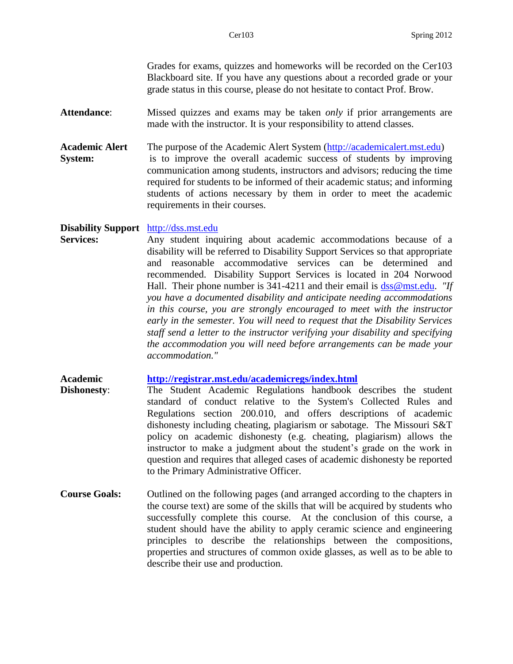Grades for exams, quizzes and homeworks will be recorded on the Cer103 Blackboard site. If you have any questions about a recorded grade or your grade status in this course, please do not hesitate to contact Prof. Brow.

- **Attendance**: Missed quizzes and exams may be taken *only* if prior arrangements are made with the instructor. It is your responsibility to attend classes.
- **Academic Alert** The purpose of the Academic Alert System [\(http://academicalert.mst.edu\)](http://academicalert.mst.edu/) **System:** is to improve the overall academic success of students by improving communication among students, instructors and advisors; reducing the time required for students to be informed of their academic status; and informing students of actions necessary by them in order to meet the academic requirements in their courses.

**Disability Support** [http://dss.mst.edu](http://dss.mst.edu/)

**Services:** Any student inquiring about academic accommodations because of a disability will be referred to Disability Support Services so that appropriate and reasonable accommodative services can be determined and recommended. Disability Support Services is located in 204 Norwood Hall. Their phone number is 341-4211 and their email is  $diss@mst.edu.$  *"If you have a documented disability and anticipate needing accommodations in this course, you are strongly encouraged to meet with the instructor early in the semester. You will need to request that the Disability Services staff send a letter to the instructor verifying your disability and specifying the accommodation you will need before arrangements can be made your accommodation."*

**Academic <http://registrar.mst.edu/academicregs/index.html>**

- **Dishonesty**: The Student Academic Regulations handbook describes the student standard of conduct relative to the System's Collected Rules and Regulations section 200.010, and offers descriptions of academic dishonesty including cheating, plagiarism or sabotage. The Missouri S&T policy on academic dishonesty (e.g. cheating, plagiarism) allows the instructor to make a judgment about the student's grade on the work in question and requires that alleged cases of academic dishonesty be reported to the Primary Administrative Officer.
- **Course Goals:** Outlined on the following pages (and arranged according to the chapters in the course text) are some of the skills that will be acquired by students who successfully complete this course. At the conclusion of this course, a student should have the ability to apply ceramic science and engineering principles to describe the relationships between the compositions, properties and structures of common oxide glasses, as well as to be able to describe their use and production.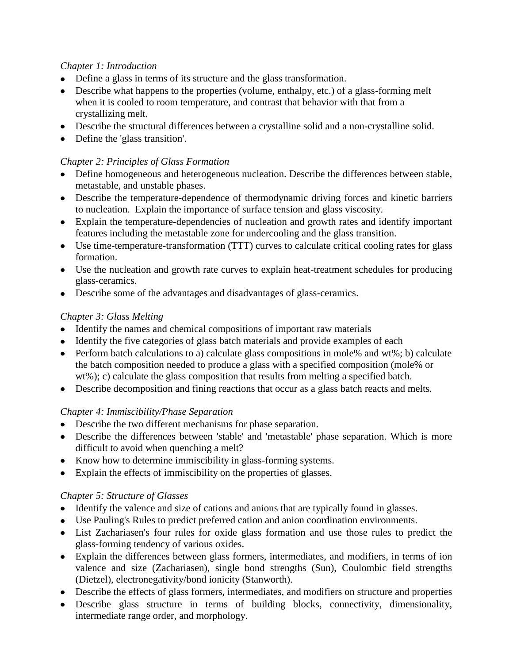#### *Chapter 1: Introduction*

- Define a glass in terms of its structure and the glass transformation.
- Describe what happens to the properties (volume, enthalpy, etc.) of a glass-forming melt when it is cooled to room temperature, and contrast that behavior with that from a crystallizing melt.
- Describe the structural differences between a crystalline solid and a non-crystalline solid.
- Define the 'glass transition'.

### *Chapter 2: Principles of Glass Formation*

- Define homogeneous and heterogeneous nucleation. Describe the differences between stable, metastable, and unstable phases.
- Describe the temperature-dependence of thermodynamic driving forces and kinetic barriers to nucleation. Explain the importance of surface tension and glass viscosity.
- Explain the temperature-dependencies of nucleation and growth rates and identify important features including the metastable zone for undercooling and the glass transition.
- Use time-temperature-transformation (TTT) curves to calculate critical cooling rates for glass formation.
- Use the nucleation and growth rate curves to explain heat-treatment schedules for producing glass-ceramics.
- Describe some of the advantages and disadvantages of glass-ceramics.

#### *Chapter 3: Glass Melting*

- Identify the names and chemical compositions of important raw materials
- Identify the five categories of glass batch materials and provide examples of each
- Perform batch calculations to a) calculate glass compositions in mole% and  $wt\%$ ; b) calculate the batch composition needed to produce a glass with a specified composition (mole% or wt%); c) calculate the glass composition that results from melting a specified batch.
- Describe decomposition and fining reactions that occur as a glass batch reacts and melts.

# *Chapter 4: Immiscibility/Phase Separation*

- Describe the two different mechanisms for phase separation.
- Describe the differences between 'stable' and 'metastable' phase separation. Which is more difficult to avoid when quenching a melt?
- Know how to determine immiscibility in glass-forming systems.
- Explain the effects of immiscibility on the properties of glasses.

# *Chapter 5: Structure of Glasses*

- Identify the valence and size of cations and anions that are typically found in glasses.
- Use Pauling's Rules to predict preferred cation and anion coordination environments.
- List Zachariasen's four rules for oxide glass formation and use those rules to predict the glass-forming tendency of various oxides.
- Explain the differences between glass formers, intermediates, and modifiers, in terms of ion valence and size (Zachariasen), single bond strengths (Sun), Coulombic field strengths (Dietzel), electronegativity/bond ionicity (Stanworth).
- Describe the effects of glass formers, intermediates, and modifiers on structure and properties
- Describe glass structure in terms of building blocks, connectivity, dimensionality, intermediate range order, and morphology.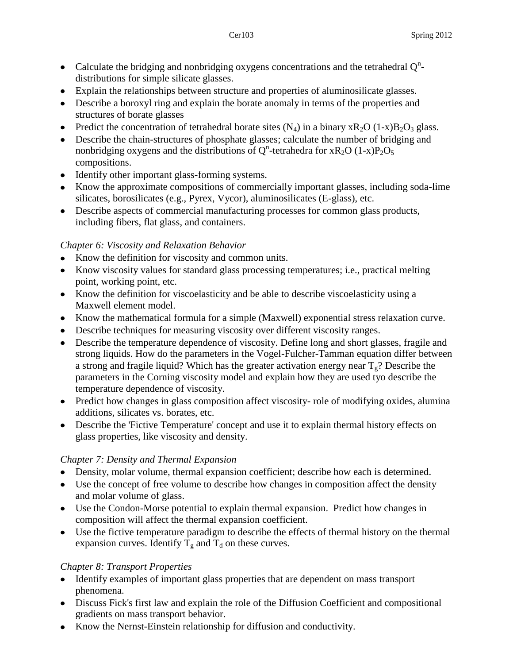- Calculate the bridging and nonbridging oxygens concentrations and the tetrahedral  $Q<sup>n</sup>$ distributions for simple silicate glasses.
- Explain the relationships between structure and properties of aluminosilicate glasses.
- Describe a boroxyl ring and explain the borate anomaly in terms of the properties and structures of borate glasses
- Predict the concentration of tetrahedral borate sites  $(N_4)$  in a binary  $xR_2O(1-x)B_2O_3$  glass.
- Describe the chain-structures of phosphate glasses; calculate the number of bridging and nonbridging oxygens and the distributions of Q<sup>n</sup>-tetrahedra for xR<sub>2</sub>O (1-x)P<sub>2</sub>O<sub>5</sub> compositions.
- Identify other important glass-forming systems.
- Know the approximate compositions of commercially important glasses, including soda-lime silicates, borosilicates (e.g., Pyrex, Vycor), aluminosilicates (E-glass), etc.
- Describe aspects of commercial manufacturing processes for common glass products, including fibers, flat glass, and containers.

#### *Chapter 6: Viscosity and Relaxation Behavior*

- Know the definition for viscosity and common units.
- Know viscosity values for standard glass processing temperatures; i.e., practical melting point, working point, etc.
- Know the definition for viscoelasticity and be able to describe viscoelasticity using a Maxwell element model.
- Know the mathematical formula for a simple (Maxwell) exponential stress relaxation curve.
- Describe techniques for measuring viscosity over different viscosity ranges.
- Describe the temperature dependence of viscosity. Define long and short glasses, fragile and strong liquids. How do the parameters in the Vogel-Fulcher-Tamman equation differ between a strong and fragile liquid? Which has the greater activation energy near  $T_g$ ? Describe the parameters in the Corning viscosity model and explain how they are used tyo describe the temperature dependence of viscosity.
- Predict how changes in glass composition affect viscosity- role of modifying oxides, alumina additions, silicates vs. borates, etc.
- Describe the 'Fictive Temperature' concept and use it to explain thermal history effects on glass properties, like viscosity and density.

# *Chapter 7: Density and Thermal Expansion*

- Density, molar volume, thermal expansion coefficient; describe how each is determined.
- Use the concept of free volume to describe how changes in composition affect the density and molar volume of glass.
- Use the Condon-Morse potential to explain thermal expansion. Predict how changes in composition will affect the thermal expansion coefficient.
- Use the fictive temperature paradigm to describe the effects of thermal history on the thermal expansion curves. Identify  $T_g$  and  $T_d$  on these curves.

# *Chapter 8: Transport Properties*

- Identify examples of important glass properties that are dependent on mass transport phenomena.
- Discuss Fick's first law and explain the role of the Diffusion Coefficient and compositional gradients on mass transport behavior.
- Know the Nernst-Einstein relationship for diffusion and conductivity.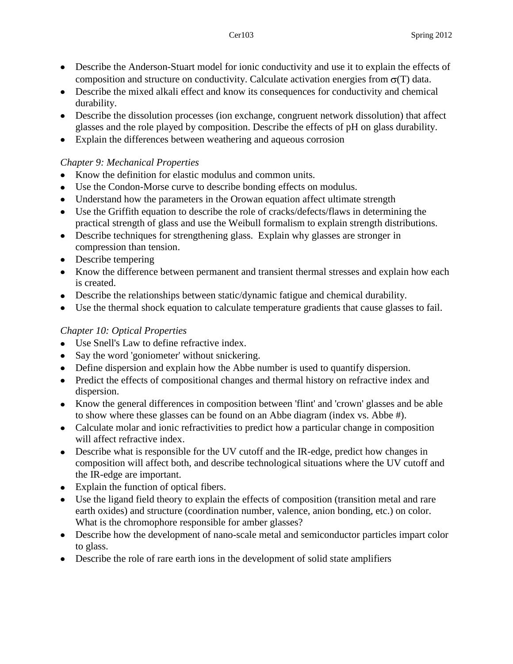- Describe the Anderson-Stuart model for ionic conductivity and use it to explain the effects of composition and structure on conductivity. Calculate activation energies from  $\sigma(T)$  data.
- Describe the mixed alkali effect and know its consequences for conductivity and chemical durability.
- Describe the dissolution processes (ion exchange, congruent network dissolution) that affect glasses and the role played by composition. Describe the effects of pH on glass durability.
- Explain the differences between weathering and aqueous corrosion  $\bullet$

### *Chapter 9: Mechanical Properties*

- Know the definition for elastic modulus and common units.  $\bullet$
- Use the Condon-Morse curve to describe bonding effects on modulus.
- Understand how the parameters in the Orowan equation affect ultimate strength
- Use the Griffith equation to describe the role of cracks/defects/flaws in determining the practical strength of glass and use the Weibull formalism to explain strength distributions.
- Describe techniques for strengthening glass. Explain why glasses are stronger in compression than tension.
- Describe tempering
- Know the difference between permanent and transient thermal stresses and explain how each is created.
- Describe the relationships between static/dynamic fatigue and chemical durability.
- Use the thermal shock equation to calculate temperature gradients that cause glasses to fail.

# *Chapter 10: Optical Properties*

- Use Snell's Law to define refractive index.
- Say the word 'goniometer' without snickering.
- Define dispersion and explain how the Abbe number is used to quantify dispersion.
- Predict the effects of compositional changes and thermal history on refractive index and dispersion.
- Know the general differences in composition between 'flint' and 'crown' glasses and be able to show where these glasses can be found on an Abbe diagram (index vs. Abbe #).
- Calculate molar and ionic refractivities to predict how a particular change in composition will affect refractive index.
- Describe what is responsible for the UV cutoff and the IR-edge, predict how changes in composition will affect both, and describe technological situations where the UV cutoff and the IR-edge are important.
- Explain the function of optical fibers.
- Use the ligand field theory to explain the effects of composition (transition metal and rare earth oxides) and structure (coordination number, valence, anion bonding, etc.) on color. What is the chromophore responsible for amber glasses?
- Describe how the development of nano-scale metal and semiconductor particles impart color to glass.
- Describe the role of rare earth ions in the development of solid state amplifiers